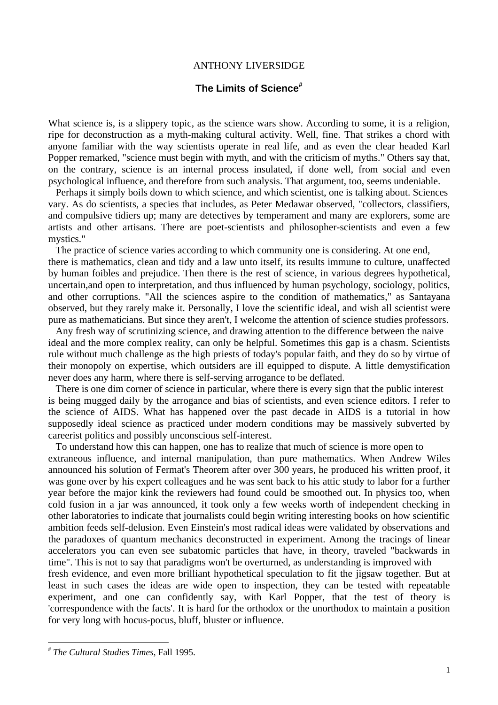## ANTHONY LIVERSIDGE

## **The Limits of Science#**

What science is, is a slippery topic, as the science wars show. According to some, it is a religion, ripe for deconstruction as a myth-making cultural activity. Well, fine. That strikes a chord with anyone familiar with the way scientists operate in real life, and as even the clear headed Karl Popper remarked, "science must begin with myth, and with the criticism of myths." Others say that, on the contrary, science is an internal process insulated, if done well, from social and even psychological influence, and therefore from such analysis. That argument, too, seems undeniable.

 Perhaps it simply boils down to which science, and which scientist, one is talking about. Sciences vary. As do scientists, a species that includes, as Peter Medawar observed, "collectors, classifiers, and compulsive tidiers up; many are detectives by temperament and many are explorers, some are artists and other artisans. There are poet-scientists and philosopher-scientists and even a few mystics."

 The practice of science varies according to which community one is considering. At one end, there is mathematics, clean and tidy and a law unto itself, its results immune to culture, unaffected by human foibles and prejudice. Then there is the rest of science, in various degrees hypothetical, uncertain,and open to interpretation, and thus influenced by human psychology, sociology, politics, and other corruptions. "All the sciences aspire to the condition of mathematics," as Santayana observed, but they rarely make it. Personally, I love the scientific ideal, and wish all scientist were pure as mathematicians. But since they aren't, I welcome the attention of science studies professors.

 Any fresh way of scrutinizing science, and drawing attention to the difference between the naive ideal and the more complex reality, can only be helpful. Sometimes this gap is a chasm. Scientists rule without much challenge as the high priests of today's popular faith, and they do so by virtue of their monopoly on expertise, which outsiders are ill equipped to dispute. A little demystification never does any harm, where there is self-serving arrogance to be deflated.

 There is one dim corner of science in particular, where there is every sign that the public interest is being mugged daily by the arrogance and bias of scientists, and even science editors. I refer to the science of AIDS. What has happened over the past decade in AIDS is a tutorial in how supposedly ideal science as practiced under modern conditions may be massively subverted by careerist politics and possibly unconscious self-interest.

 To understand how this can happen, one has to realize that much of science is more open to extraneous influence, and internal manipulation, than pure mathematics. When Andrew Wiles announced his solution of Fermat's Theorem after over 300 years, he produced his written proof, it was gone over by his expert colleagues and he was sent back to his attic study to labor for a further year before the major kink the reviewers had found could be smoothed out. In physics too, when cold fusion in a jar was announced, it took only a few weeks worth of independent checking in other laboratories to indicate that journalists could begin writing interesting books on how scientific ambition feeds self-delusion. Even Einstein's most radical ideas were validated by observations and the paradoxes of quantum mechanics deconstructed in experiment. Among the tracings of linear accelerators you can even see subatomic particles that have, in theory, traveled "backwards in time". This is not to say that paradigms won't be overturned, as understanding is improved with

fresh evidence, and even more brilliant hypothetical speculation to fit the jigsaw together. But at least in such cases the ideas are wide open to inspection, they can be tested with repeatable experiment, and one can confidently say, with Karl Popper, that the test of theory is 'correspondence with the facts'. It is hard for the orthodox or the unorthodox to maintain a position for very long with hocus-pocus, bluff, bluster or influence.

l

<sup>#</sup> *The Cultural Studies Times*, Fall 1995.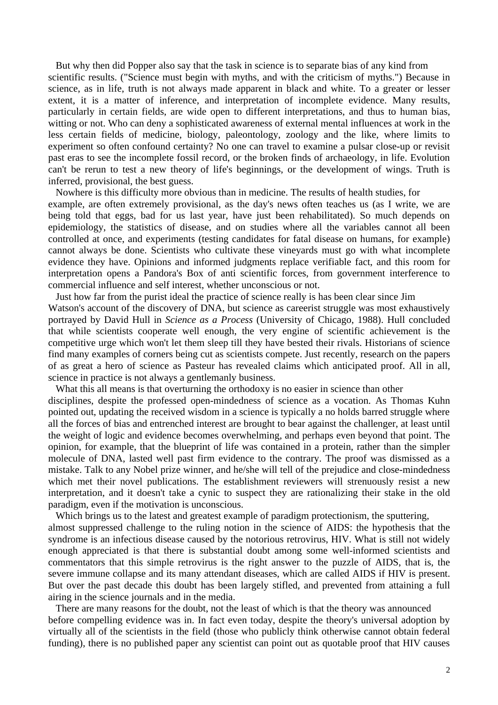But why then did Popper also say that the task in science is to separate bias of any kind from scientific results. ("Science must begin with myths, and with the criticism of myths.") Because in science, as in life, truth is not always made apparent in black and white. To a greater or lesser extent, it is a matter of inference, and interpretation of incomplete evidence. Many results, particularly in certain fields, are wide open to different interpretations, and thus to human bias, witting or not. Who can deny a sophisticated awareness of external mental influences at work in the less certain fields of medicine, biology, paleontology, zoology and the like, where limits to experiment so often confound certainty? No one can travel to examine a pulsar close-up or revisit past eras to see the incomplete fossil record, or the broken finds of archaeology, in life. Evolution can't be rerun to test a new theory of life's beginnings, or the development of wings. Truth is inferred, provisional, the best guess.

 Nowhere is this difficulty more obvious than in medicine. The results of health studies, for example, are often extremely provisional, as the day's news often teaches us (as I write, we are being told that eggs, bad for us last year, have just been rehabilitated). So much depends on epidemiology, the statistics of disease, and on studies where all the variables cannot all been controlled at once, and experiments (testing candidates for fatal disease on humans, for example) cannot always be done. Scientists who cultivate these vineyards must go with what incomplete evidence they have. Opinions and informed judgments replace verifiable fact, and this room for interpretation opens a Pandora's Box of anti scientific forces, from government interference to commercial influence and self interest, whether unconscious or not.

 Just how far from the purist ideal the practice of science really is has been clear since Jim Watson's account of the discovery of DNA, but science as careerist struggle was most exhaustively portrayed by David Hull in *Science as a Process* (University of Chicago, 1988). Hull concluded that while scientists cooperate well enough, the very engine of scientific achievement is the competitive urge which won't let them sleep till they have bested their rivals. Historians of science find many examples of corners being cut as scientists compete. Just recently, research on the papers of as great a hero of science as Pasteur has revealed claims which anticipated proof. All in all, science in practice is not always a gentlemanly business.

 What this all means is that overturning the orthodoxy is no easier in science than other disciplines, despite the professed open-mindedness of science as a vocation. As Thomas Kuhn pointed out, updating the received wisdom in a science is typically a no holds barred struggle where all the forces of bias and entrenched interest are brought to bear against the challenger, at least until the weight of logic and evidence becomes overwhelming, and perhaps even beyond that point. The opinion, for example, that the blueprint of life was contained in a protein, rather than the simpler molecule of DNA, lasted well past firm evidence to the contrary. The proof was dismissed as a mistake. Talk to any Nobel prize winner, and he/she will tell of the prejudice and close-mindedness which met their novel publications. The establishment reviewers will strenuously resist a new interpretation, and it doesn't take a cynic to suspect they are rationalizing their stake in the old paradigm, even if the motivation is unconscious.

 Which brings us to the latest and greatest example of paradigm protectionism, the sputtering, almost suppressed challenge to the ruling notion in the science of AIDS: the hypothesis that the syndrome is an infectious disease caused by the notorious retrovirus, HIV. What is still not widely enough appreciated is that there is substantial doubt among some well-informed scientists and commentators that this simple retrovirus is the right answer to the puzzle of AIDS, that is, the severe immune collapse and its many attendant diseases, which are called AIDS if HIV is present. But over the past decade this doubt has been largely stifled, and prevented from attaining a full airing in the science journals and in the media.

 There are many reasons for the doubt, not the least of which is that the theory was announced before compelling evidence was in. In fact even today, despite the theory's universal adoption by virtually all of the scientists in the field (those who publicly think otherwise cannot obtain federal funding), there is no published paper any scientist can point out as quotable proof that HIV causes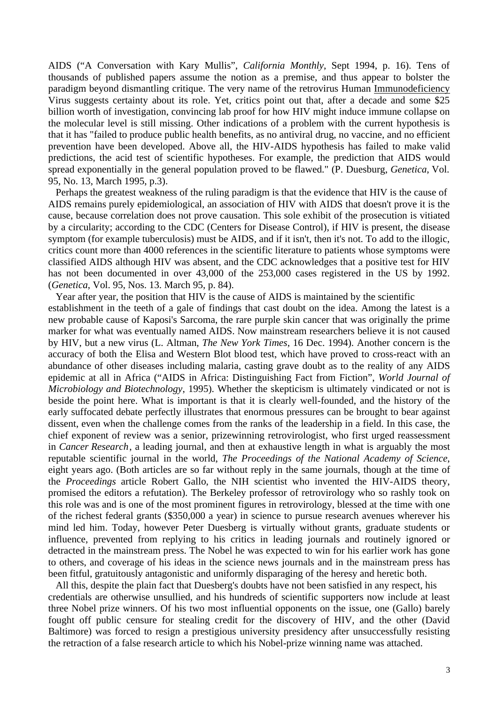AIDS ("A Conversation with Kary Mullis", *California Monthly*, Sept 1994, p. 16). Tens of thousands of published papers assume the notion as a premise, and thus appear to bolster the paradigm beyond dismantling critique. The very name of the retrovirus Human Immunodeficiency Virus suggests certainty about its role. Yet, critics point out that, after a decade and some \$25 billion worth of investigation, convincing lab proof for how HIV might induce immune collapse on the molecular level is still missing. Other indications of a problem with the current hypothesis is that it has "failed to produce public health benefits, as no antiviral drug, no vaccine, and no efficient prevention have been developed. Above all, the HIV-AIDS hypothesis has failed to make valid predictions, the acid test of scientific hypotheses. For example, the prediction that AIDS would spread exponentially in the general population proved to be flawed." (P. Duesburg, *Genetica*, Vol. 95, No. 13, March 1995, p.3).

 Perhaps the greatest weakness of the ruling paradigm is that the evidence that HIV is the cause of AIDS remains purely epidemiological, an association of HIV with AIDS that doesn't prove it is the cause, because correlation does not prove causation. This sole exhibit of the prosecution is vitiated by a circularity; according to the CDC (Centers for Disease Control), if HIV is present, the disease symptom (for example tuberculosis) must be AIDS, and if it isn't, then it's not. To add to the illogic, critics count more than 4000 references in the scientific literature to patients whose symptoms were classified AIDS although HIV was absent, and the CDC acknowledges that a positive test for HIV has not been documented in over 43,000 of the 253,000 cases registered in the US by 1992. (*Genetica*, Vol. 95, Nos. 13. March 95, p. 84).

 Year after year, the position that HIV is the cause of AIDS is maintained by the scientific establishment in the teeth of a gale of findings that cast doubt on the idea. Among the latest is a new probable cause of Kaposi's Sarcoma, the rare purple skin cancer that was originally the prime marker for what was eventually named AIDS. Now mainstream researchers believe it is not caused by HIV, but a new virus (L. Altman, *The New York Times*, 16 Dec. 1994). Another concern is the accuracy of both the Elisa and Western Blot blood test, which have proved to cross-react with an abundance of other diseases including malaria, casting grave doubt as to the reality of any AIDS epidemic at all in Africa ("AIDS in Africa: Distinguishing Fact from Fiction", *World Journal of Microbiology and Biotechnology*, 1995). Whether the skepticism is ultimately vindicated or not is beside the point here. What is important is that it is clearly well-founded, and the history of the early suffocated debate perfectly illustrates that enormous pressures can be brought to bear against dissent, even when the challenge comes from the ranks of the leadership in a field. In this case, the chief exponent of review was a senior, prizewinning retrovirologist, who first urged reassessment in *Cancer Research*, a leading journal, and then at exhaustive length in what is arguably the most reputable scientific journal in the world, *The Proceedings of the National Academy of Science*, eight years ago. (Both articles are so far without reply in the same journals, though at the time of the *Proceedings* article Robert Gallo, the NIH scientist who invented the HIV-AIDS theory, promised the editors a refutation). The Berkeley professor of retrovirology who so rashly took on this role was and is one of the most prominent figures in retrovirology, blessed at the time with one of the richest federal grants (\$350,000 a year) in science to pursue research avenues wherever his mind led him. Today, however Peter Duesberg is virtually without grants, graduate students or influence, prevented from replying to his critics in leading journals and routinely ignored or detracted in the mainstream press. The Nobel he was expected to win for his earlier work has gone to others, and coverage of his ideas in the science news journals and in the mainstream press has been fitful, gratuitously antagonistic and uniformly disparaging of the heresy and heretic both.

 All this, despite the plain fact that Duesberg's doubts have not been satisfied in any respect, his credentials are otherwise unsullied, and his hundreds of scientific supporters now include at least three Nobel prize winners. Of his two most influential opponents on the issue, one (Gallo) barely fought off public censure for stealing credit for the discovery of HIV, and the other (David Baltimore) was forced to resign a prestigious university presidency after unsuccessfully resisting the retraction of a false research article to which his Nobel-prize winning name was attached.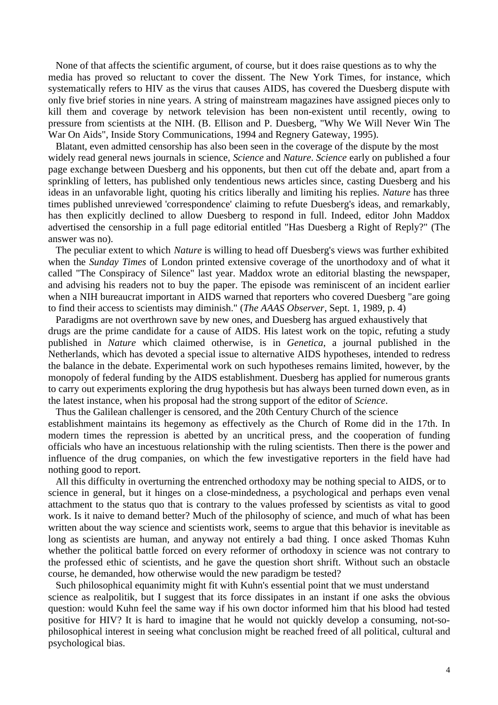None of that affects the scientific argument, of course, but it does raise questions as to why the media has proved so reluctant to cover the dissent. The New York Times, for instance, which systematically refers to HIV as the virus that causes AIDS, has covered the Duesberg dispute with only five brief stories in nine years. A string of mainstream magazines have assigned pieces only to kill them and coverage by network television has been non-existent until recently, owing to pressure from scientists at the NIH. (B. Ellison and P. Duesberg, "Why We Will Never Win The War On Aids", Inside Story Communications, 1994 and Regnery Gateway, 1995).

 Blatant, even admitted censorship has also been seen in the coverage of the dispute by the most widely read general news journals in science, *Science* and *Nature*. *Science* early on published a four page exchange between Duesberg and his opponents, but then cut off the debate and, apart from a sprinkling of letters, has published only tendentious news articles since, casting Duesberg and his ideas in an unfavorable light, quoting his critics liberally and limiting his replies. *Nature* has three times published unreviewed 'correspondence' claiming to refute Duesberg's ideas, and remarkably, has then explicitly declined to allow Duesberg to respond in full. Indeed, editor John Maddox advertised the censorship in a full page editorial entitled "Has Duesberg a Right of Reply?" (The answer was no).

 The peculiar extent to which *Nature* is willing to head off Duesberg's views was further exhibited when the *Sunday Times* of London printed extensive coverage of the unorthodoxy and of what it called "The Conspiracy of Silence" last year. Maddox wrote an editorial blasting the newspaper, and advising his readers not to buy the paper. The episode was reminiscent of an incident earlier when a NIH bureaucrat important in AIDS warned that reporters who covered Duesberg "are going to find their access to scientists may diminish." (*The AAAS Observer*, Sept. 1, 1989, p. 4)

 Paradigms are not overthrown save by new ones, and Duesberg has argued exhaustively that drugs are the prime candidate for a cause of AIDS. His latest work on the topic, refuting a study published in *Nature* which claimed otherwise, is in *Genetica*, a journal published in the Netherlands, which has devoted a special issue to alternative AIDS hypotheses, intended to redress the balance in the debate. Experimental work on such hypotheses remains limited, however, by the monopoly of federal funding by the AIDS establishment. Duesberg has applied for numerous grants to carry out experiments exploring the drug hypothesis but has always been turned down even, as in the latest instance, when his proposal had the strong support of the editor of *Science*.

 Thus the Galilean challenger is censored, and the 20th Century Church of the science establishment maintains its hegemony as effectively as the Church of Rome did in the 17th. In modern times the repression is abetted by an uncritical press, and the cooperation of funding officials who have an incestuous relationship with the ruling scientists. Then there is the power and influence of the drug companies, on which the few investigative reporters in the field have had nothing good to report.

 All this difficulty in overturning the entrenched orthodoxy may be nothing special to AIDS, or to science in general, but it hinges on a close-mindedness, a psychological and perhaps even venal attachment to the status quo that is contrary to the values professed by scientists as vital to good work. Is it naive to demand better? Much of the philosophy of science, and much of what has been written about the way science and scientists work, seems to argue that this behavior is inevitable as long as scientists are human, and anyway not entirely a bad thing. I once asked Thomas Kuhn whether the political battle forced on every reformer of orthodoxy in science was not contrary to the professed ethic of scientists, and he gave the question short shrift. Without such an obstacle course, he demanded, how otherwise would the new paradigm be tested?

 Such philosophical equanimity might fit with Kuhn's essential point that we must understand science as realpolitik, but I suggest that its force dissipates in an instant if one asks the obvious question: would Kuhn feel the same way if his own doctor informed him that his blood had tested positive for HIV? It is hard to imagine that he would not quickly develop a consuming, not-sophilosophical interest in seeing what conclusion might be reached freed of all political, cultural and psychological bias.